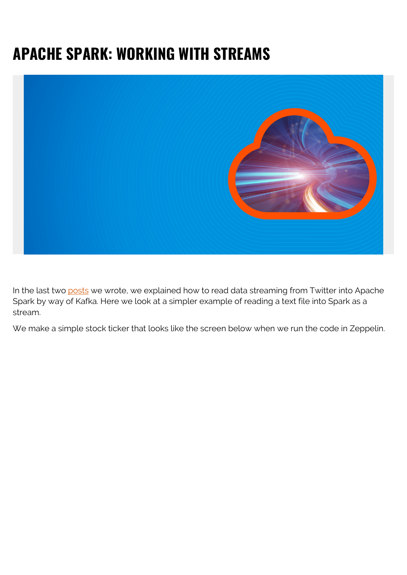## **APACHE SPARK: WORKING WITH STREAMS**



In the last two [posts](https://blogs.bmc.com/blogs/working-streaming-twitter-data-using-kafka/) we wrote, we explained how to read data streaming from Twitter into Apache Spark by way of Kafka. Here we look at a simpler example of reading a text file into Spark as a stream.

We make a simple stock ticker that looks like the screen below when we run the code in Zeppelin.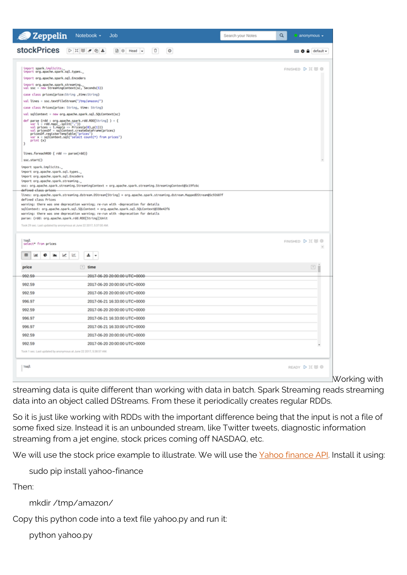| 2 Zeppelin                                                                                                                                                                                                                                                                                                     | Notebook $\sim$<br>Job                                                                                                                                                                                                                                                                                                                                                                  | Q<br>Search your Notes | anonymous -                       |
|----------------------------------------------------------------------------------------------------------------------------------------------------------------------------------------------------------------------------------------------------------------------------------------------------------------|-----------------------------------------------------------------------------------------------------------------------------------------------------------------------------------------------------------------------------------------------------------------------------------------------------------------------------------------------------------------------------------------|------------------------|-----------------------------------|
| stockPrices <b>PEU</b>                                                                                                                                                                                                                                                                                         | <b>B</b> ⊗ Head →<br>O<br>$\circ$                                                                                                                                                                                                                                                                                                                                                       |                        | <b>EBO A</b> default <del>v</del> |
| import spark.implicits.<br>inport org.apache.spark.sql.types._<br>import org.apache.spark.sql.Encoders<br>import org.apache.spark.streaming.                                                                                                                                                                   |                                                                                                                                                                                                                                                                                                                                                                                         |                        | FINISHED D II U @                 |
| val ssc = new StreamingContext(sc, Seconds(S))<br>case class prices(price:String ,time:String)<br>val lines = ssc.textFileStream("/tro/anazon/")                                                                                                                                                               |                                                                                                                                                                                                                                                                                                                                                                                         |                        |                                   |
| case class Prices(price: String, time: String)<br>val sqlContext = new org.apache.spark.sql.SQLContext(sc)                                                                                                                                                                                                     |                                                                                                                                                                                                                                                                                                                                                                                         |                        |                                   |
| def parse (rdd : org.apache.spark.rdd.RDD[String] ) = {<br>var l = rdd.map(_.split(","))<br>val prices = l.map(p => Prices(p(0),p(1)))<br>val pricesDf = sqlContext.createDataFrame(prices)<br>pricesDf.registerTempTable("prices")<br>var x = sqlContext.sql("select count(*) from prices")<br>print (x)<br>١ |                                                                                                                                                                                                                                                                                                                                                                                         |                        |                                   |
| lines.foreachRDD { rdd => parse(rdd)}<br>ssc.start()                                                                                                                                                                                                                                                           |                                                                                                                                                                                                                                                                                                                                                                                         |                        |                                   |
| import spark.implicits.<br>import org.apache.spark.sql.types._<br>import org.apache.spark.sql.Encoders<br>import org.apache.spark.streaming._<br>defined class prices                                                                                                                                          | ssc: org.apache.spark.streaming.StreamingContext = org.apache.spark.streaming.StreamingContext85c19fc6c                                                                                                                                                                                                                                                                                 |                        |                                   |
| defined class Prices<br>parse: (rdd: org.apache.spark.rdd.RDD[String])Unit<br>Took 29 sec. Last updated by anonymous at June 22 2017, 5:37:00 AM.                                                                                                                                                              | lines: org.apache.spark.streaming.dstream.DStream[String] = org.apache.spark.streaming.dstream.MappedDStream@Sc92687f<br>warning: there was one deprecation warning; re-run with -deprecation for details<br>sqlContext: org.apache.spark.sql.SQLContext = org.apache.spark.sql.SQLContext@338e42f6<br>warning: there was one deprecation warning; re-run with -deprecation for details |                        |                                   |
| <b>Ssal</b><br>select from prices                                                                                                                                                                                                                                                                              |                                                                                                                                                                                                                                                                                                                                                                                         |                        | FINISHED D II 图 @<br>$\sim$       |
| 咝<br>œ<br>۰<br>ш<br>جيما                                                                                                                                                                                                                                                                                       | ᆂ<br>×                                                                                                                                                                                                                                                                                                                                                                                  |                        |                                   |
| price                                                                                                                                                                                                                                                                                                          | $i$ time                                                                                                                                                                                                                                                                                                                                                                                |                        | $\sqrt{2}$                        |
| 992.59                                                                                                                                                                                                                                                                                                         | 2017-06-20 20:00:00 UTC+0000-                                                                                                                                                                                                                                                                                                                                                           |                        |                                   |
| 992.59                                                                                                                                                                                                                                                                                                         | 2017-06-20 20:00:00 UTC+0000                                                                                                                                                                                                                                                                                                                                                            |                        |                                   |
| 992.59                                                                                                                                                                                                                                                                                                         | 2017-06-20 20:00:00 UTC+0000                                                                                                                                                                                                                                                                                                                                                            |                        |                                   |
| 996.97                                                                                                                                                                                                                                                                                                         | 2017-06-21 16:33:00 UTC+0000                                                                                                                                                                                                                                                                                                                                                            |                        |                                   |
| 992.59                                                                                                                                                                                                                                                                                                         | 2017-06-20 20:00:00 UTC+0000                                                                                                                                                                                                                                                                                                                                                            |                        |                                   |
| 996.97                                                                                                                                                                                                                                                                                                         | 2017-06-21 16:33:00 UTC+0000                                                                                                                                                                                                                                                                                                                                                            |                        |                                   |
| 996.97                                                                                                                                                                                                                                                                                                         | 2017-06-21 16:33:00 UTC+0000                                                                                                                                                                                                                                                                                                                                                            |                        |                                   |
| 992.59                                                                                                                                                                                                                                                                                                         | 2017-06-20 20:00:00 UTC+0000                                                                                                                                                                                                                                                                                                                                                            |                        |                                   |
| 992.59<br>Took 1 sec. Last updated by anonymous at June 22 2017, 5:38:57 AM.                                                                                                                                                                                                                                   | 2017-06-20 20:00:00 UTC+0000                                                                                                                                                                                                                                                                                                                                                            |                        | $\scriptstyle\rm w$               |
|                                                                                                                                                                                                                                                                                                                |                                                                                                                                                                                                                                                                                                                                                                                         |                        |                                   |
| <b>Nsql</b>                                                                                                                                                                                                                                                                                                    |                                                                                                                                                                                                                                                                                                                                                                                         |                        | READY D I U @                     |
|                                                                                                                                                                                                                                                                                                                |                                                                                                                                                                                                                                                                                                                                                                                         |                        | Working with                      |

streaming data is quite different than working with data in batch. Spark Streaming reads streaming data into an object called DStreams. From these it periodically creates regular RDDs.

So it is just like working with RDDs with the important difference being that the input is not a file of some fixed size. Instead it is an unbounded stream, like Twitter tweets, diagnostic information streaming from a jet engine, stock prices coming off NASDAQ, etc.

We will use the stock price example to illustrate. We will use the [Yahoo finance API](https://pypi.python.org/pypi/yahoo-finance). Install it using:

sudo pip install yahoo-finance

Then:

mkdir /tmp/amazon/

Copy this python code into a text file yahoo.py and run it:

python yahoo.py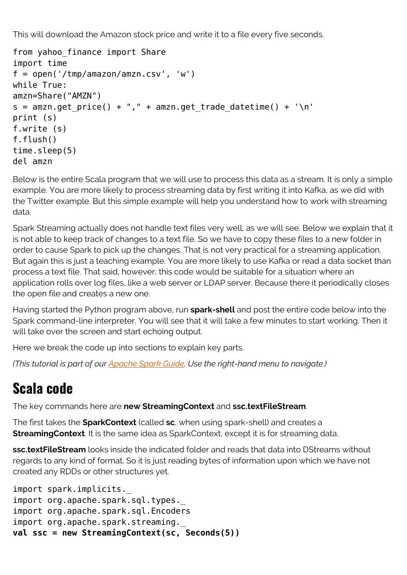This will download the Amazon stock price and write it to a file every five seconds.

```
from yahoo finance import Share
import time
f = open('/tmp/amazon/amzn.csv', 'w')while True:
amzn=Share("AMZN")
s = amzn.get price() + "," + amzn.get trade datetime() + '\n'
print (s)
f.write (s)
f.flush()
time.sleep(5)
del amzn
```
Below is the entire Scala program that we will use to process this data as a stream. It is only a simple example. You are more likely to process streaming data by first writing it into Kafka, as we did with the Twitter example. But this simple example will help you understand how to work with streaming data.

Spark Streaming actually does not handle text files very well, as we will see. Below we explain that it is not able to keep track of changes to a text file. So we have to copy these files to a new folder in order to cause Spark to pick up the changes. That is not very practical for a streaming application. But again this is just a teaching example. You are more likely to use Kafka or read a data socket than process a text file. That said, however, this code would be suitable for a situation where an application rolls over log files, like a web server or LDAP server. Because there it periodically closes the open file and creates a new one.

Having started the Python program above, run **spark-shell** and post the entire code below into the Spark command-line interpreter. You will see that it will take a few minutes to start working. Then it will take over the screen and start echoing output.

Here we break the code up into sections to explain key parts.

*(This tutorial is part of our [Apache Spark Guide.](https://blogs.bmc.com/blogs/introduction-to-sparks-machine-learning-pipeline/) Use the right-hand menu to navigate.)*

## **Scala code**

The key commands here are **new StreamingContext** and **ssc.textFileStream**.

The first takes the **SparkContext** (called **sc**, when using spark-shell) and creates a **StreamingContext**. It is the same idea as SparkContext, except it is for streaming data.

**ssc.textFileStream** looks inside the indicated folder and reads that data into DStreams without regards to any kind of format. So it is just reading bytes of information upon which we have not created any RDDs or other structures yet.

```
import spark.implicits._
import org.apache.spark.sql.types._
import org.apache.spark.sql.Encoders
import org.apache.spark.streaming.
val ssc = new StreamingContext(sc, Seconds(5))
```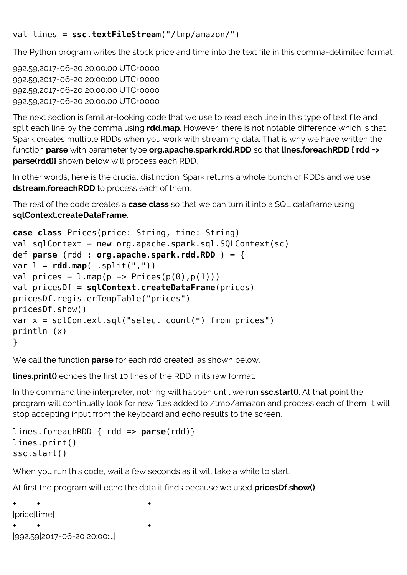## val lines = **ssc.textFileStream**("/tmp/amazon/")

The Python program writes the stock price and time into the text file in this comma-delimited format:

992.59,2017-06-20 20:00:00 UTC+0000 992.59,2017-06-20 20:00:00 UTC+0000 992.59,2017-06-20 20:00:00 UTC+0000 992.59,2017-06-20 20:00:00 UTC+0000

The next section is familiar-looking code that we use to read each line in this type of text file and split each line by the comma using **rdd.map**. However, there is not notable difference which is that Spark creates multiple RDDs when you work with streaming data. That is why we have written the function **parse** with parameter type **org.apache.spark.rdd.RDD** so that **lines.foreachRDD { rdd => parse(rdd)}** shown below will process each RDD.

In other words, here is the crucial distinction. Spark returns a whole bunch of RDDs and we use **dstream.foreachRDD** to process each of them.

The rest of the code creates a **case class** so that we can turn it into a SQL dataframe using **sqlContext.createDataFrame**.

```
case class Prices(price: String, time: String)
val sqlContext = new org.apache.spark.sql.SQLContext(sc)
def parse (rdd : org.apache.spark.rdd.RDD ) = {
var l = rddmap(.split(","))
val prices = l.\text{map}(p \Rightarrow \text{Prices}(p(\theta), p(1)))val pricesDf = sqlContext.createDataFrame(prices)
pricesDf.registerTempTable("prices")
pricesDf.show()
var x = \text{sglContext}.\text{sgl("select count(*) from prices")}println (x)
}
```
We call the function **parse** for each rdd created, as shown below.

**lines.print()** echoes the first 10 lines of the RDD in its raw format.

In the command line interpreter, nothing will happen until we run **ssc.start()**. At that point the program will continually look for new files added to /tmp/amazon and process each of them. It will stop accepting input from the keyboard and echo results to the screen.

```
lines.foreachRDD { rdd => parse(rdd)}
lines.print()
ssc.start()
```
When you run this code, wait a few seconds as it will take a while to start.

At first the program will echo the data it finds because we used **pricesDf.show()**.

```
+------+-------------------------------+
|price|time|
+------+-------------------------------+
|992.59|2017-06-20 20:00:...|
```